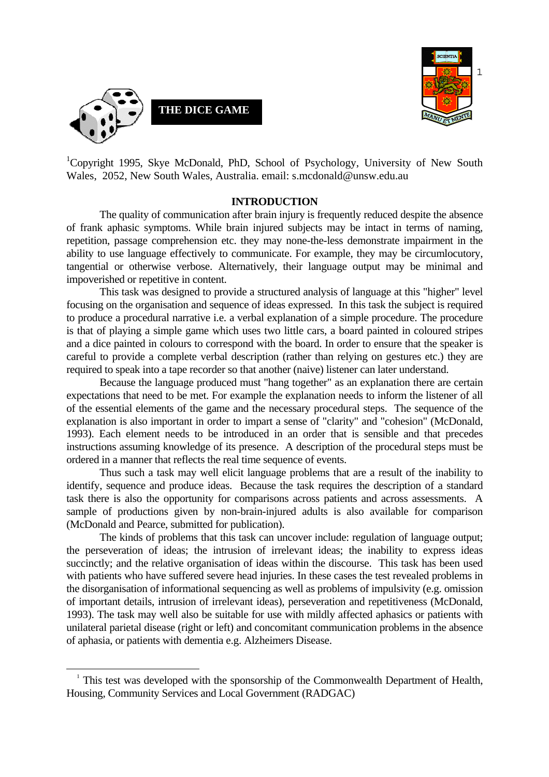



<sup>1</sup>Copyright 1995, Skye McDonald, PhD, School of Psychology, University of New South Wales, 2052, New South Wales, Australia. email: s.mcdonald@unsw.edu.au

#### **INTRODUCTION**

 The quality of communication after brain injury is frequently reduced despite the absence of frank aphasic symptoms. While brain injured subjects may be intact in terms of naming, repetition, passage comprehension etc. they may none-the-less demonstrate impairment in the ability to use language effectively to communicate. For example, they may be circumlocutory, tangential or otherwise verbose. Alternatively, their language output may be minimal and impoverished or repetitive in content.

 This task was designed to provide a structured analysis of language at this "higher" level focusing on the organisation and sequence of ideas expressed. In this task the subject is required to produce a procedural narrative i.e. a verbal explanation of a simple procedure. The procedure is that of playing a simple game which uses two little cars, a board painted in coloured stripes and a dice painted in colours to correspond with the board. In order to ensure that the speaker is careful to provide a complete verbal description (rather than relying on gestures etc.) they are required to speak into a tape recorder so that another (naive) listener can later understand.

 Because the language produced must "hang together" as an explanation there are certain expectations that need to be met. For example the explanation needs to inform the listener of all of the essential elements of the game and the necessary procedural steps. The sequence of the explanation is also important in order to impart a sense of "clarity" and "cohesion" (McDonald, 1993). Each element needs to be introduced in an order that is sensible and that precedes instructions assuming knowledge of its presence. A description of the procedural steps must be ordered in a manner that reflects the real time sequence of events.

 Thus such a task may well elicit language problems that are a result of the inability to identify, sequence and produce ideas. Because the task requires the description of a standard task there is also the opportunity for comparisons across patients and across assessments. A sample of productions given by non-brain-injured adults is also available for comparison (McDonald and Pearce, submitted for publication).

 The kinds of problems that this task can uncover include: regulation of language output; the perseveration of ideas; the intrusion of irrelevant ideas; the inability to express ideas succinctly; and the relative organisation of ideas within the discourse. This task has been used with patients who have suffered severe head injuries. In these cases the test revealed problems in the disorganisation of informational sequencing as well as problems of impulsivity (e.g. omission of important details, intrusion of irrelevant ideas), perseveration and repetitiveness (McDonald, 1993). The task may well also be suitable for use with mildly affected aphasics or patients with unilateral parietal disease (right or left) and concomitant communication problems in the absence of aphasia, or patients with dementia e.g. Alzheimers Disease.

<sup>&</sup>lt;sup>1</sup> This test was developed with the sponsorship of the Commonwealth Department of Health, Housing, Community Services and Local Government (RADGAC)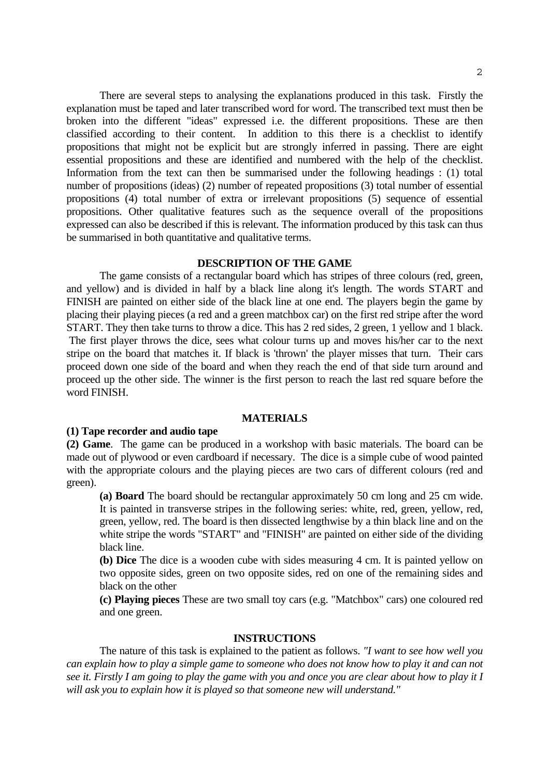There are several steps to analysing the explanations produced in this task. Firstly the explanation must be taped and later transcribed word for word. The transcribed text must then be broken into the different "ideas" expressed i.e. the different propositions. These are then classified according to their content. In addition to this there is a checklist to identify propositions that might not be explicit but are strongly inferred in passing. There are eight essential propositions and these are identified and numbered with the help of the checklist. Information from the text can then be summarised under the following headings : (1) total number of propositions (ideas) (2) number of repeated propositions (3) total number of essential propositions (4) total number of extra or irrelevant propositions (5) sequence of essential propositions. Other qualitative features such as the sequence overall of the propositions expressed can also be described if this is relevant. The information produced by this task can thus be summarised in both quantitative and qualitative terms.

## **DESCRIPTION OF THE GAME**

 The game consists of a rectangular board which has stripes of three colours (red, green, and yellow) and is divided in half by a black line along it's length. The words START and FINISH are painted on either side of the black line at one end. The players begin the game by placing their playing pieces (a red and a green matchbox car) on the first red stripe after the word START. They then take turns to throw a dice. This has 2 red sides, 2 green, 1 yellow and 1 black. The first player throws the dice, sees what colour turns up and moves his/her car to the next stripe on the board that matches it. If black is 'thrown' the player misses that turn. Their cars proceed down one side of the board and when they reach the end of that side turn around and proceed up the other side. The winner is the first person to reach the last red square before the word FINISH.

## **MATERIALS**

#### **(1) Tape recorder and audio tape**

**(2) Game**. The game can be produced in a workshop with basic materials. The board can be made out of plywood or even cardboard if necessary. The dice is a simple cube of wood painted with the appropriate colours and the playing pieces are two cars of different colours (red and green).

 **(a) Board** The board should be rectangular approximately 50 cm long and 25 cm wide. It is painted in transverse stripes in the following series: white, red, green, yellow, red, green, yellow, red. The board is then dissected lengthwise by a thin black line and on the white stripe the words "START" and "FINISH" are painted on either side of the dividing black line.

 **(b) Dice** The dice is a wooden cube with sides measuring 4 cm. It is painted yellow on two opposite sides, green on two opposite sides, red on one of the remaining sides and black on the other

 **(c) Playing pieces** These are two small toy cars (e.g. "Matchbox" cars) one coloured red and one green.

#### **INSTRUCTIONS**

 The nature of this task is explained to the patient as follows. *"I want to see how well you can explain how to play a simple game to someone who does not know how to play it and can not see it. Firstly I am going to play the game with you and once you are clear about how to play it I will ask you to explain how it is played so that someone new will understand."*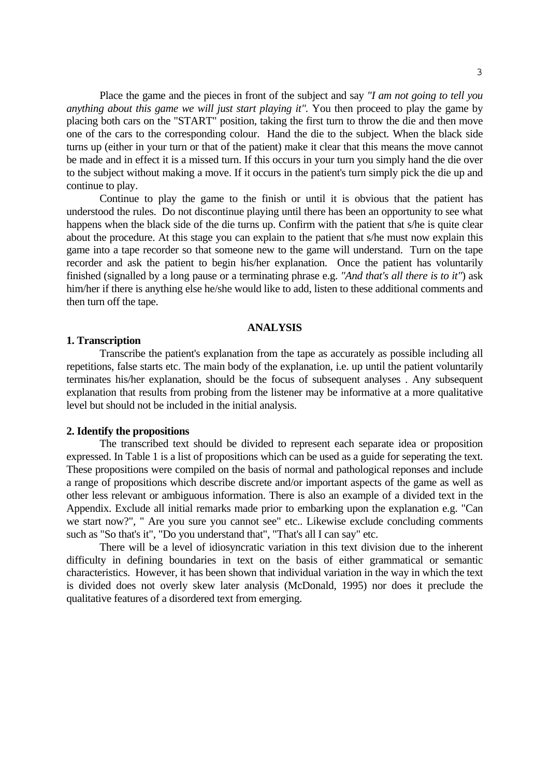Place the game and the pieces in front of the subject and say *"I am not going to tell you anything about this game we will just start playing it"*. You then proceed to play the game by placing both cars on the "START" position, taking the first turn to throw the die and then move one of the cars to the corresponding colour. Hand the die to the subject. When the black side turns up (either in your turn or that of the patient) make it clear that this means the move cannot be made and in effect it is a missed turn. If this occurs in your turn you simply hand the die over to the subject without making a move. If it occurs in the patient's turn simply pick the die up and continue to play.

 Continue to play the game to the finish or until it is obvious that the patient has understood the rules. Do not discontinue playing until there has been an opportunity to see what happens when the black side of the die turns up. Confirm with the patient that s/he is quite clear about the procedure. At this stage you can explain to the patient that s/he must now explain this game into a tape recorder so that someone new to the game will understand. Turn on the tape recorder and ask the patient to begin his/her explanation. Once the patient has voluntarily finished (signalled by a long pause or a terminating phrase e.g. *"And that's all there is to it"*) ask him/her if there is anything else he/she would like to add, listen to these additional comments and then turn off the tape.

## **ANALYSIS**

#### **1. Transcription**

 Transcribe the patient's explanation from the tape as accurately as possible including all repetitions, false starts etc. The main body of the explanation, i.e. up until the patient voluntarily terminates his/her explanation, should be the focus of subsequent analyses . Any subsequent explanation that results from probing from the listener may be informative at a more qualitative level but should not be included in the initial analysis.

#### **2. Identify the propositions**

 The transcribed text should be divided to represent each separate idea or proposition expressed. In Table 1 is a list of propositions which can be used as a guide for seperating the text. These propositions were compiled on the basis of normal and pathological reponses and include a range of propositions which describe discrete and/or important aspects of the game as well as other less relevant or ambiguous information. There is also an example of a divided text in the Appendix. Exclude all initial remarks made prior to embarking upon the explanation e.g. "Can we start now?", " Are you sure you cannot see" etc.. Likewise exclude concluding comments such as "So that's it", "Do you understand that", "That's all I can say" etc.

 There will be a level of idiosyncratic variation in this text division due to the inherent difficulty in defining boundaries in text on the basis of either grammatical or semantic characteristics. However, it has been shown that individual variation in the way in which the text is divided does not overly skew later analysis (McDonald, 1995) nor does it preclude the qualitative features of a disordered text from emerging.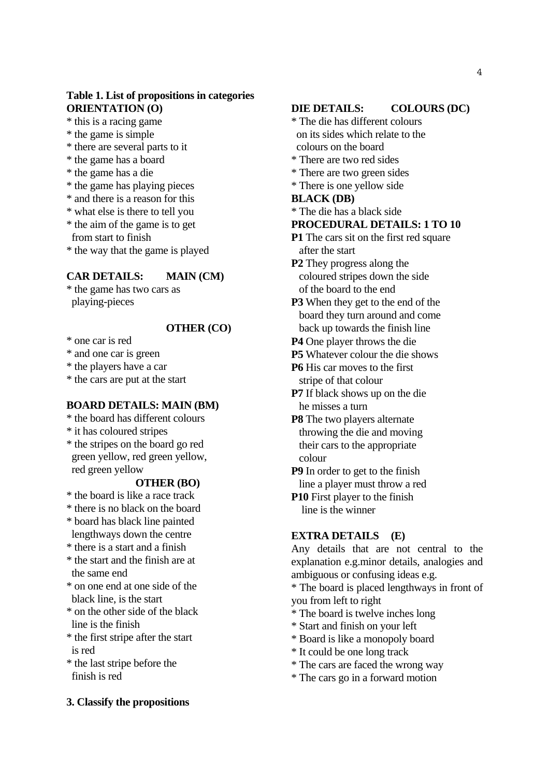# **Table 1. List of propositions in categories ORIENTATION (O)**

\* this is a racing game

- \* the game is simple
- \* there are several parts to it
- \* the game has a board
- \* the game has a die
- \* the game has playing pieces
- \* and there is a reason for this
- \* what else is there to tell you
- \* the aim of the game is to get

from start to finish

\* the way that the game is played

# **CAR DETAILS: MAIN (CM)**

\* the game has two cars as playing-pieces

## **OTHER (CO)**

\* one car is red

\* and one car is green

\* the players have a car

\* the cars are put at the start

## **BOARD DETAILS: MAIN (BM)**

- \* the board has different colours
- \* it has coloured stripes
- \* the stripes on the board go red green yellow, red green yellow, red green yellow

## **OTHER (BO)**

- \* the board is like a race track
- \* there is no black on the board
- \* board has black line painted lengthways down the centre
- \* there is a start and a finish
- \* the start and the finish are at the same end
- \* on one end at one side of the black line, is the start
- \* on the other side of the black line is the finish
- \* the first stripe after the start is red
- \* the last stripe before the finish is red

#### **DIE DETAILS: COLOURS (DC)**

- \* The die has different colours on its sides which relate to the colours on the board
- \* There are two red sides
- \* There are two green sides
- \* There is one yellow side

#### **BLACK (DB)**

\* The die has a black side

#### **PROCEDURAL DETAILS: 1 TO 10**

- **P1** The cars sit on the first red square after the start
- **P2** They progress along the coloured stripes down the side of the board to the end
- **P3** When they get to the end of the board they turn around and come back up towards the finish line
- **P4** One player throws the die
- **P5** Whatever colour the die shows
- **P6** His car moves to the first stripe of that colour
- **P7** If black shows up on the die he misses a turn
- **P8** The two players alternate throwing the die and moving their cars to the appropriate colour
- **P9** In order to get to the finish line a player must throw a red
- **P10** First player to the finish line is the winner

### **EXTRA DETAILS (E)**

Any details that are not central to the explanation e.g.minor details, analogies and ambiguous or confusing ideas e.g.

\* The board is placed lengthways in front of you from left to right

- \* The board is twelve inches long
- \* Start and finish on your left
- \* Board is like a monopoly board
- \* It could be one long track
- \* The cars are faced the wrong way
- \* The cars go in a forward motion

**3. Classify the propositions**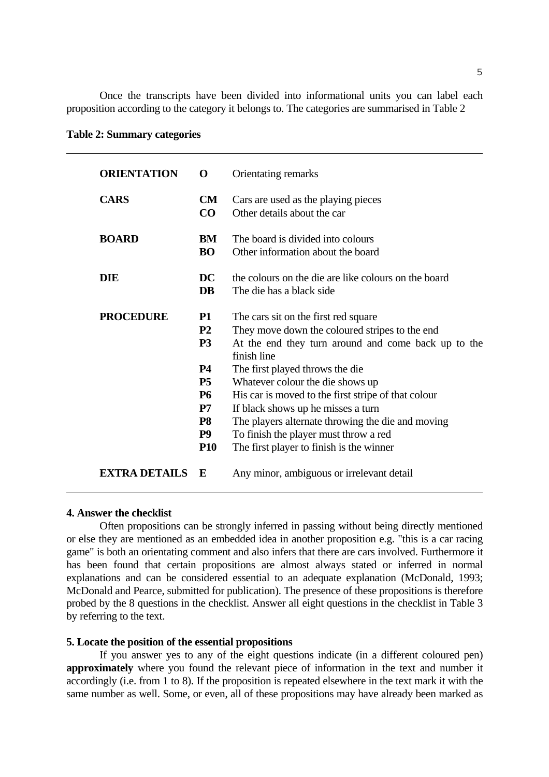Once the transcripts have been divided into informational units you can label each proposition according to the category it belongs to. The categories are summarised in Table 2

**Table 2: Summary categories**

| <b>ORIENTATION</b>   | $\Omega$                                                                                    | Orientating remarks                                                                                                                                                                                                                                                                                        |
|----------------------|---------------------------------------------------------------------------------------------|------------------------------------------------------------------------------------------------------------------------------------------------------------------------------------------------------------------------------------------------------------------------------------------------------------|
| <b>CARS</b>          | CM<br>CO                                                                                    | Cars are used as the playing pieces<br>Other details about the car                                                                                                                                                                                                                                         |
| <b>BOARD</b>         | BM<br><b>BO</b>                                                                             | The board is divided into colours<br>Other information about the board                                                                                                                                                                                                                                     |
| <b>DIE</b>           | DC<br><b>DB</b>                                                                             | the colours on the die are like colours on the board<br>The die has a black side                                                                                                                                                                                                                           |
| <b>PROCEDURE</b>     | <b>P1</b><br><b>P2</b><br>P <sub>3</sub>                                                    | The cars sit on the first red square<br>They move down the coloured stripes to the end<br>At the end they turn around and come back up to the<br>finish line                                                                                                                                               |
|                      | <b>P4</b><br><b>P5</b><br><b>P6</b><br>P7<br>P <sub>8</sub><br>P <sub>9</sub><br><b>P10</b> | The first played throws the die<br>Whatever colour the die shows up<br>His car is moved to the first stripe of that colour<br>If black shows up he misses a turn<br>The players alternate throwing the die and moving<br>To finish the player must throw a red<br>The first player to finish is the winner |
| <b>EXTRA DETAILS</b> | E                                                                                           | Any minor, ambiguous or irrelevant detail                                                                                                                                                                                                                                                                  |

#### **4. Answer the checklist**

 Often propositions can be strongly inferred in passing without being directly mentioned or else they are mentioned as an embedded idea in another proposition e.g. "this is a car racing game" is both an orientating comment and also infers that there are cars involved. Furthermore it has been found that certain propositions are almost always stated or inferred in normal explanations and can be considered essential to an adequate explanation (McDonald, 1993; McDonald and Pearce, submitted for publication). The presence of these propositions is therefore probed by the 8 questions in the checklist. Answer all eight questions in the checklist in Table 3 by referring to the text.

## **5. Locate the position of the essential propositions**

 If you answer yes to any of the eight questions indicate (in a different coloured pen) **approximately** where you found the relevant piece of information in the text and number it accordingly (i.e. from 1 to 8). If the proposition is repeated elsewhere in the text mark it with the same number as well. Some, or even, all of these propositions may have already been marked as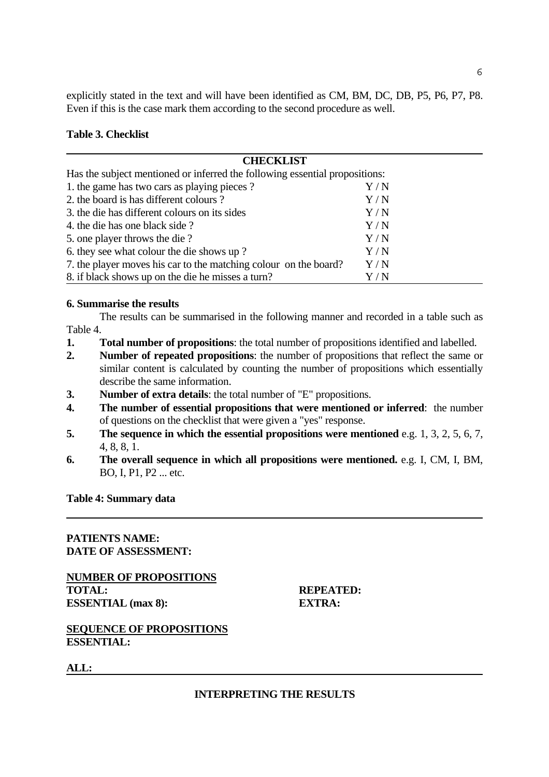explicitly stated in the text and will have been identified as CM, BM, DC, DB, P5, P6, P7, P8. Even if this is the case mark them according to the second procedure as well.

 $\sim$  6

# **Table 3. Checklist**

| <b>CHECKLIST</b>                                                            |       |  |
|-----------------------------------------------------------------------------|-------|--|
| Has the subject mentioned or inferred the following essential propositions: |       |  |
| 1. the game has two cars as playing pieces?                                 | Y / N |  |
| 2. the board is has different colours?                                      | Y/N   |  |
| 3. the die has different colours on its sides                               | Y/N   |  |
| 4. the die has one black side?                                              | Y/N   |  |
| 5. one player throws the die?                                               | Y/N   |  |
| 6. they see what colour the die shows up?                                   | Y/N   |  |
| 7. the player moves his car to the matching colour on the board?            | Y/N   |  |
| 8. if black shows up on the die he misses a turn?                           | Y / N |  |

## **6. Summarise the results**

 The results can be summarised in the following manner and recorded in a table such as Table 4.

- **1. Total number of propositions**: the total number of propositions identified and labelled.
- **2. Number of repeated propositions**: the number of propositions that reflect the same or similar content is calculated by counting the number of propositions which essentially describe the same information.
- **3. Number of extra details**: the total number of "E" propositions.
- **4. The number of essential propositions that were mentioned or inferred**: the number of questions on the checklist that were given a "yes" response.
- **5. The sequence in which the essential propositions were mentioned** e.g. 1, 3, 2, 5, 6, 7, 4, 8, 8, 1.
- **6. The overall sequence in which all propositions were mentioned.** e.g. I, CM, I, BM, BO, I, P1, P2 ... etc.

#### **Table 4: Summary data**

# **PATIENTS NAME: DATE OF ASSESSMENT:**

**NUMBER OF PROPOSITIONS TOTAL: REPEATED: ESSENTIAL (max 8): EXTRA:** 

**SEQUENCE OF PROPOSITIONS ESSENTIAL:** 

**ALL:** 

# **INTERPRETING THE RESULTS**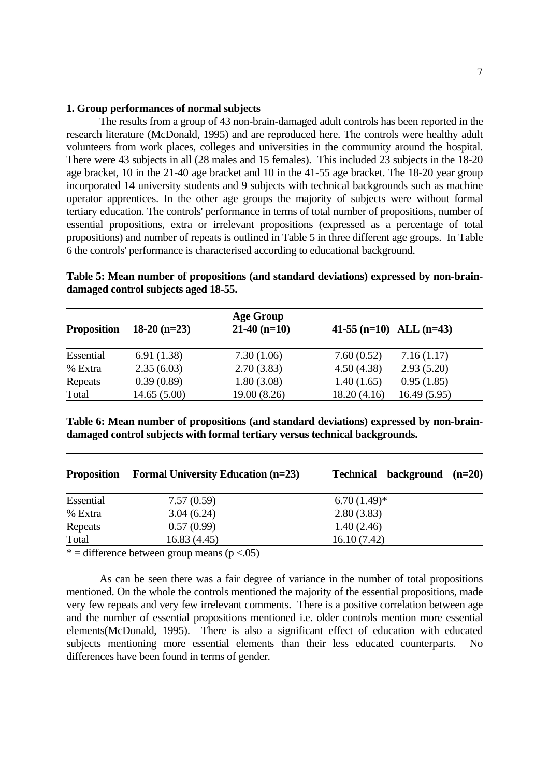#### **1. Group performances of normal subjects**

 The results from a group of 43 non-brain-damaged adult controls has been reported in the research literature (McDonald, 1995) and are reproduced here. The controls were healthy adult volunteers from work places, colleges and universities in the community around the hospital. There were 43 subjects in all (28 males and 15 females). This included 23 subjects in the 18-20 age bracket, 10 in the 21-40 age bracket and 10 in the 41-55 age bracket. The 18-20 year group incorporated 14 university students and 9 subjects with technical backgrounds such as machine operator apprentices. In the other age groups the majority of subjects were without formal tertiary education. The controls' performance in terms of total number of propositions, number of essential propositions, extra or irrelevant propositions (expressed as a percentage of total propositions) and number of repeats is outlined in Table 5 in three different age groups. In Table 6 the controls' performance is characterised according to educational background.

|                    |                | <b>Age Group</b> |                           |             |
|--------------------|----------------|------------------|---------------------------|-------------|
| <b>Proposition</b> | $18-20$ (n=23) | $21-40$ (n=10)   | $41-55$ (n=10) ALL (n=43) |             |
| Essential          | 6.91(1.38)     | 7.30(1.06)       | 7.60(0.52)                | 7.16(1.17)  |
| % Extra            | 2.35(6.03)     | 2.70(3.83)       | 4.50(4.38)                | 2.93(5.20)  |
| Repeats            | 0.39(0.89)     | 1.80(3.08)       | 1.40(1.65)                | 0.95(1.85)  |
| Total              | 14.65(5.00)    | 19.00 (8.26)     | 18.20(4.16)               | 16.49(5.95) |

**Table 5: Mean number of propositions (and standard deviations) expressed by non-braindamaged control subjects aged 18-55.** 

**Table 6: Mean number of propositions (and standard deviations) expressed by non-braindamaged control subjects with formal tertiary versus technical backgrounds.** 

| <b>Proposition</b> | <b>Formal University Education (n=23)</b> | background $(n=20)$<br><b>Technical</b> |  |
|--------------------|-------------------------------------------|-----------------------------------------|--|
| Essential          | 7.57(0.59)                                | $6.70(1.49)$ *                          |  |
| % Extra            | 3.04(6.24)                                | 2.80(3.83)                              |  |
| Repeats            | 0.57(0.99)                                | 1.40(2.46)                              |  |
| Total              | 16.83(4.45)                               | 16.10(7.42)                             |  |

\* = difference between group means ( $p < .05$ )

 As can be seen there was a fair degree of variance in the number of total propositions mentioned. On the whole the controls mentioned the majority of the essential propositions, made very few repeats and very few irrelevant comments. There is a positive correlation between age and the number of essential propositions mentioned i.e. older controls mention more essential elements(McDonald, 1995). There is also a significant effect of education with educated subjects mentioning more essential elements than their less educated counterparts. No differences have been found in terms of gender.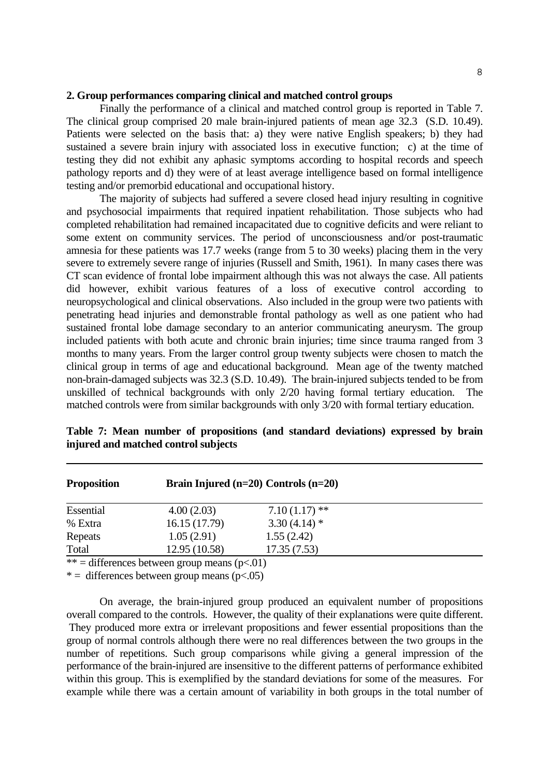#### **2. Group performances comparing clinical and matched control groups**

 Finally the performance of a clinical and matched control group is reported in Table 7. The clinical group comprised 20 male brain-injured patients of mean age 32.3 (S.D. 10.49). Patients were selected on the basis that: a) they were native English speakers; b) they had sustained a severe brain injury with associated loss in executive function; c) at the time of testing they did not exhibit any aphasic symptoms according to hospital records and speech pathology reports and d) they were of at least average intelligence based on formal intelligence testing and/or premorbid educational and occupational history.

 The majority of subjects had suffered a severe closed head injury resulting in cognitive and psychosocial impairments that required inpatient rehabilitation. Those subjects who had completed rehabilitation had remained incapacitated due to cognitive deficits and were reliant to some extent on community services. The period of unconsciousness and/or post-traumatic amnesia for these patients was 17.7 weeks (range from 5 to 30 weeks) placing them in the very severe to extremely severe range of injuries (Russell and Smith, 1961). In many cases there was CT scan evidence of frontal lobe impairment although this was not always the case. All patients did however, exhibit various features of a loss of executive control according to neuropsychological and clinical observations. Also included in the group were two patients with penetrating head injuries and demonstrable frontal pathology as well as one patient who had sustained frontal lobe damage secondary to an anterior communicating aneurysm. The group included patients with both acute and chronic brain injuries; time since trauma ranged from 3 months to many years. From the larger control group twenty subjects were chosen to match the clinical group in terms of age and educational background. Mean age of the twenty matched non-brain-damaged subjects was 32.3 (S.D. 10.49). The brain-injured subjects tended to be from unskilled of technical backgrounds with only 2/20 having formal tertiary education. The matched controls were from similar backgrounds with only 3/20 with formal tertiary education.

| <b>Proposition</b> | Brain Injured $(n=20)$ Controls $(n=20)$ |                 |  |
|--------------------|------------------------------------------|-----------------|--|
| Essential          | 4.00(2.03)                               | $7.10(1.17)$ ** |  |
| % Extra            | 16.15(17.79)                             | $3.30(4.14)$ *  |  |
| Repeats            | 1.05(2.91)                               | 1.55(2.42)      |  |
| Total              | 12.95 (10.58)                            | 17.35(7.53)     |  |

**Table 7: Mean number of propositions (and standard deviations) expressed by brain injured and matched control subjects** 

\*\* = differences between group means  $(p<.01)$ 

 $* =$  differences between group means (p<.05)

 On average, the brain-injured group produced an equivalent number of propositions overall compared to the controls. However, the quality of their explanations were quite different. They produced more extra or irrelevant propositions and fewer essential propositions than the group of normal controls although there were no real differences between the two groups in the number of repetitions. Such group comparisons while giving a general impression of the performance of the brain-injured are insensitive to the different patterns of performance exhibited within this group. This is exemplified by the standard deviations for some of the measures. For example while there was a certain amount of variability in both groups in the total number of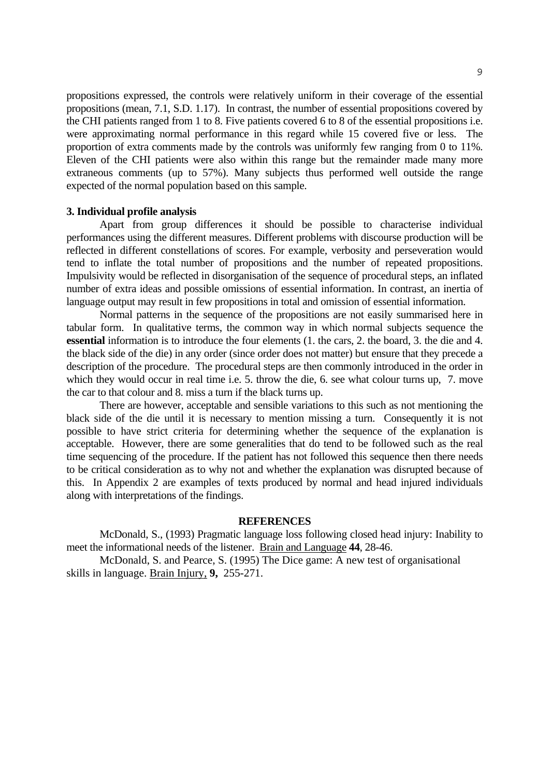propositions expressed, the controls were relatively uniform in their coverage of the essential propositions (mean, 7.1, S.D. 1.17). In contrast, the number of essential propositions covered by the CHI patients ranged from 1 to 8. Five patients covered 6 to 8 of the essential propositions i.e. were approximating normal performance in this regard while 15 covered five or less. The proportion of extra comments made by the controls was uniformly few ranging from 0 to 11%. Eleven of the CHI patients were also within this range but the remainder made many more extraneous comments (up to 57%). Many subjects thus performed well outside the range expected of the normal population based on this sample.

#### **3. Individual profile analysis**

 Apart from group differences it should be possible to characterise individual performances using the different measures. Different problems with discourse production will be reflected in different constellations of scores. For example, verbosity and perseveration would tend to inflate the total number of propositions and the number of repeated propositions. Impulsivity would be reflected in disorganisation of the sequence of procedural steps, an inflated number of extra ideas and possible omissions of essential information. In contrast, an inertia of language output may result in few propositions in total and omission of essential information.

 Normal patterns in the sequence of the propositions are not easily summarised here in tabular form. In qualitative terms, the common way in which normal subjects sequence the **essential** information is to introduce the four elements (1. the cars, 2. the board, 3. the die and 4. the black side of the die) in any order (since order does not matter) but ensure that they precede a description of the procedure. The procedural steps are then commonly introduced in the order in which they would occur in real time i.e. 5. throw the die, 6. see what colour turns up, 7. move the car to that colour and 8. miss a turn if the black turns up.

 There are however, acceptable and sensible variations to this such as not mentioning the black side of the die until it is necessary to mention missing a turn. Consequently it is not possible to have strict criteria for determining whether the sequence of the explanation is acceptable. However, there are some generalities that do tend to be followed such as the real time sequencing of the procedure. If the patient has not followed this sequence then there needs to be critical consideration as to why not and whether the explanation was disrupted because of this. In Appendix 2 are examples of texts produced by normal and head injured individuals along with interpretations of the findings.

## **REFERENCES**

 McDonald, S., (1993) Pragmatic language loss following closed head injury: Inability to meet the informational needs of the listener. Brain and Language **44**, 28-46.

 McDonald, S. and Pearce, S. (1995) The Dice game: A new test of organisational skills in language. Brain Injury, **9,** 255-271.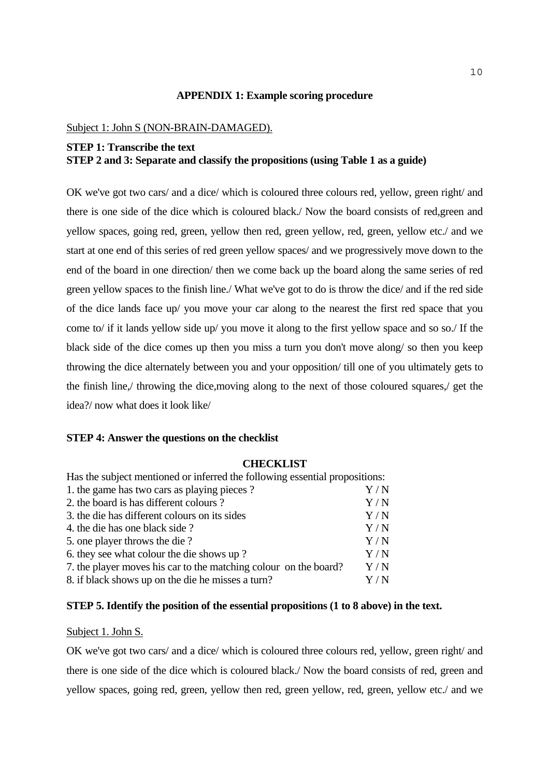## **APPENDIX 1: Example scoring procedure**

#### Subject 1: John S (NON-BRAIN-DAMAGED).

# **STEP 1: Transcribe the text STEP 2 and 3: Separate and classify the propositions (using Table 1 as a guide)**

OK we've got two cars/ and a dice/ which is coloured three colours red, yellow, green right/ and there is one side of the dice which is coloured black./ Now the board consists of red,green and yellow spaces, going red, green, yellow then red, green yellow, red, green, yellow etc./ and we start at one end of this series of red green yellow spaces/ and we progressively move down to the end of the board in one direction/ then we come back up the board along the same series of red green yellow spaces to the finish line./ What we've got to do is throw the dice/ and if the red side of the dice lands face up/ you move your car along to the nearest the first red space that you come to/ if it lands yellow side up/ you move it along to the first yellow space and so so./ If the black side of the dice comes up then you miss a turn you don't move along/ so then you keep throwing the dice alternately between you and your opposition/ till one of you ultimately gets to the finish line,/ throwing the dice,moving along to the next of those coloured squares,/ get the idea?/ now what does it look like/

#### **STEP 4: Answer the questions on the checklist**

#### **CHECKLIST**

| Has the subject mentioned or inferred the following essential propositions: |                   |  |
|-----------------------------------------------------------------------------|-------------------|--|
| 1. the game has two cars as playing pieces?                                 | Y / N             |  |
| 2. the board is has different colours?                                      | Y / N             |  |
| 3. the die has different colours on its sides                               | Y/N               |  |
| 4. the die has one black side?                                              | Y/N               |  |
| 5. one player throws the die?                                               | Y/N               |  |
| 6. they see what colour the die shows up?                                   | Y/N               |  |
| 7. the player moves his car to the matching colour on the board?            | Y/N               |  |
| 8. if black shows up on the die he misses a turn?                           | $\rm Y$ / $\rm N$ |  |

#### **STEP 5. Identify the position of the essential propositions (1 to 8 above) in the text.**

## Subject 1. John S.

OK we've got two cars/ and a dice/ which is coloured three colours red, yellow, green right/ and there is one side of the dice which is coloured black./ Now the board consists of red, green and yellow spaces, going red, green, yellow then red, green yellow, red, green, yellow etc./ and we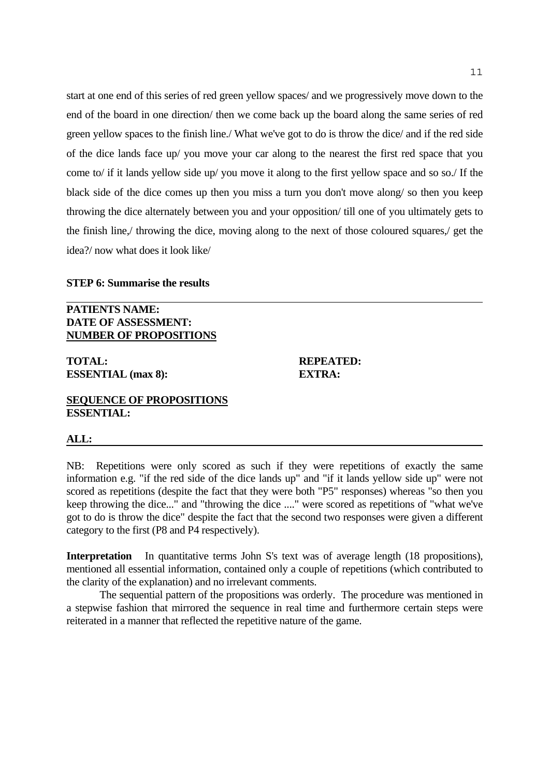start at one end of this series of red green yellow spaces/ and we progressively move down to the end of the board in one direction/ then we come back up the board along the same series of red green yellow spaces to the finish line./ What we've got to do is throw the dice/ and if the red side of the dice lands face up/ you move your car along to the nearest the first red space that you come to/ if it lands yellow side up/ you move it along to the first yellow space and so so./ If the black side of the dice comes up then you miss a turn you don't move along/ so then you keep throwing the dice alternately between you and your opposition/ till one of you ultimately gets to the finish line,/ throwing the dice, moving along to the next of those coloured squares,/ get the idea?/ now what does it look like/

#### **STEP 6: Summarise the results**

**PATIENTS NAME: DATE OF ASSESSMENT: NUMBER OF PROPOSITIONS**

**TOTAL: REPEATED: ESSENTIAL (max 8): EXTRA:** 

# **SEQUENCE OF PROPOSITIONS ESSENTIAL:**

#### **ALL:**

NB: Repetitions were only scored as such if they were repetitions of exactly the same information e.g. "if the red side of the dice lands up" and "if it lands yellow side up" were not scored as repetitions (despite the fact that they were both "P5" responses) whereas "so then you keep throwing the dice..." and "throwing the dice ...." were scored as repetitions of "what we've got to do is throw the dice" despite the fact that the second two responses were given a different category to the first (P8 and P4 respectively).

**Interpretation** In quantitative terms John S's text was of average length (18 propositions), mentioned all essential information, contained only a couple of repetitions (which contributed to the clarity of the explanation) and no irrelevant comments.

 The sequential pattern of the propositions was orderly. The procedure was mentioned in a stepwise fashion that mirrored the sequence in real time and furthermore certain steps were reiterated in a manner that reflected the repetitive nature of the game.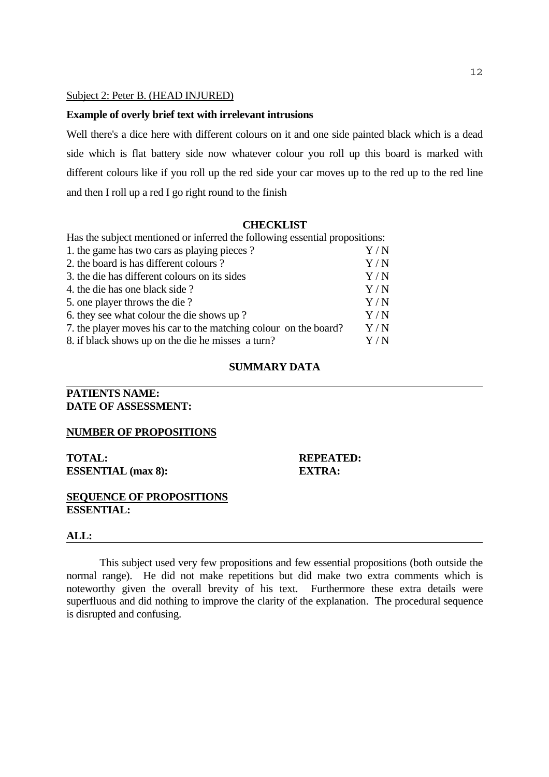#### Subject 2: Peter B. (HEAD INJURED)

#### **Example of overly brief text with irrelevant intrusions**

Well there's a dice here with different colours on it and one side painted black which is a dead side which is flat battery side now whatever colour you roll up this board is marked with different colours like if you roll up the red side your car moves up to the red up to the red line and then I roll up a red I go right round to the finish

#### **CHECKLIST**

| Has the subject mentioned or inferred the following essential propositions: |             |
|-----------------------------------------------------------------------------|-------------|
| 1. the game has two cars as playing pieces?                                 | $\rm Y/N$   |
| 2. the board is has different colours?                                      | Y/N         |
| 3. the die has different colours on its sides                               | Y/N         |
| 4. the die has one black side?                                              | Y/N         |
| 5. one player throws the die?                                               | Y/N         |
| 6. they see what colour the die shows up?                                   | Y/N         |
| 7. the player moves his car to the matching colour on the board?            | Y/N         |
| 8. if black shows up on the die he misses a turn?                           | ${\rm Y/N}$ |

#### **SUMMARY DATA**

# **PATIENTS NAME: DATE OF ASSESSMENT:**

#### **NUMBER OF PROPOSITIONS**

**TOTAL: REPEATED: ESSENTIAL (max 8): EXTRA:** 

#### **SEQUENCE OF PROPOSITIONS ESSENTIAL:**

#### **ALL:**

 This subject used very few propositions and few essential propositions (both outside the normal range). He did not make repetitions but did make two extra comments which is noteworthy given the overall brevity of his text. Furthermore these extra details were superfluous and did nothing to improve the clarity of the explanation. The procedural sequence is disrupted and confusing.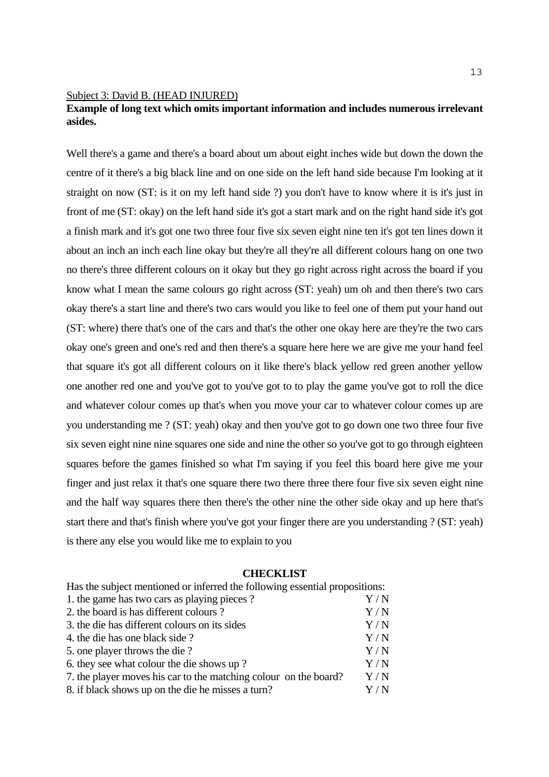#### Subject 3: David B. (HEAD INJURED)

# **Example of long text which omits important information and includes numerous irrelevant asides.**

Well there's a game and there's a board about um about eight inches wide but down the down the centre of it there's a big black line and on one side on the left hand side because I'm looking at it straight on now (ST: is it on my left hand side ?) you don't have to know where it is it's just in front of me (ST: okay) on the left hand side it's got a start mark and on the right hand side it's got a finish mark and it's got one two three four five six seven eight nine ten it's got ten lines down it about an inch an inch each line okay but they're all they're all different colours hang on one two no there's three different colours on it okay but they go right across right across the board if you know what I mean the same colours go right across (ST: yeah) um oh and then there's two cars okay there's a start line and there's two cars would you like to feel one of them put your hand out (ST: where) there that's one of the cars and that's the other one okay here are they're the two cars okay one's green and one's red and then there's a square here here we are give me your hand feel that square it's got all different colours on it like there's black yellow red green another yellow one another red one and you've got to you've got to to play the game you've got to roll the dice and whatever colour comes up that's when you move your car to whatever colour comes up are you understanding me ? (ST: yeah) okay and then you've got to go down one two three four five six seven eight nine nine squares one side and nine the other so you've got to go through eighteen squares before the games finished so what I'm saying if you feel this board here give me your finger and just relax it that's one square there two there three there four five six seven eight nine and the half way squares there then there's the other nine the other side okay and up here that's start there and that's finish where you've got your finger there are you understanding ? (ST: yeah) is there any else you would like me to explain to you

## **CHECKLIST**

| Has the subject mentioned or inferred the following essential propositions: |           |
|-----------------------------------------------------------------------------|-----------|
| 1. the game has two cars as playing pieces?                                 | $\rm Y/N$ |
| 2. the board is has different colours?                                      | Y/N       |
| 3. the die has different colours on its sides                               | Y/N       |
| 4. the die has one black side?                                              | Y/N       |
| 5. one player throws the die?                                               | Y/N       |
| 6. they see what colour the die shows up?                                   | Y/N       |
| 7. the player moves his car to the matching colour on the board?            | Y/N       |
| 8. if black shows up on the die he misses a turn?                           | Y / N     |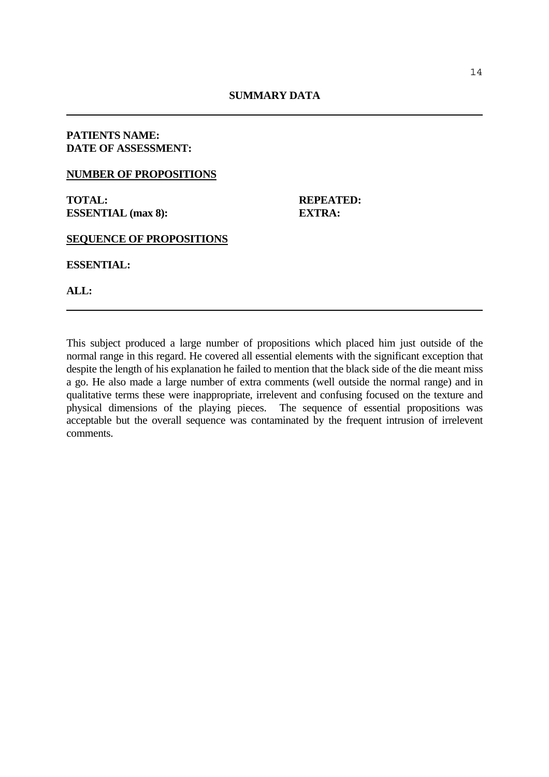## **PATIENTS NAME: DATE OF ASSESSMENT:**

## **NUMBER OF PROPOSITIONS**

**TOTAL: REPEATED: ESSENTIAL (max 8): EXTRA:** 

**SEQUENCE OF PROPOSITIONS** 

**ESSENTIAL:** 

**ALL:** 

This subject produced a large number of propositions which placed him just outside of the normal range in this regard. He covered all essential elements with the significant exception that despite the length of his explanation he failed to mention that the black side of the die meant miss a go. He also made a large number of extra comments (well outside the normal range) and in qualitative terms these were inappropriate, irrelevent and confusing focused on the texture and physical dimensions of the playing pieces. The sequence of essential propositions was acceptable but the overall sequence was contaminated by the frequent intrusion of irrelevent comments.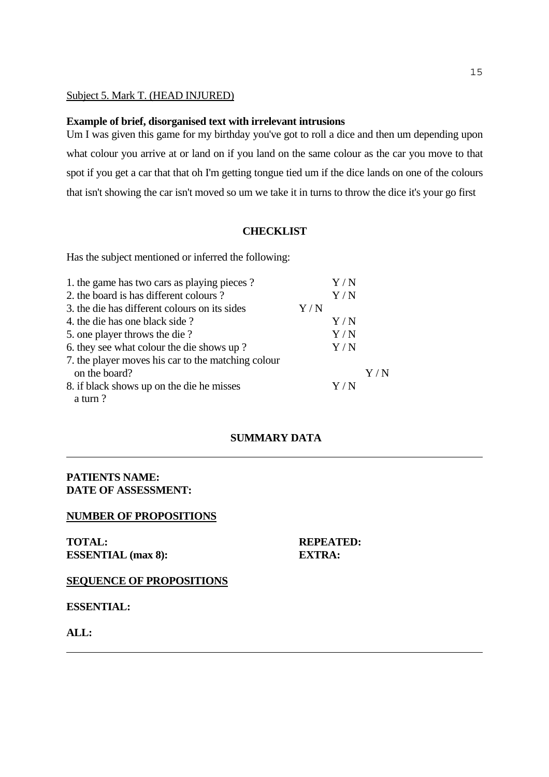## Subject 5. Mark T. (HEAD INJURED)

#### **Example of brief, disorganised text with irrelevant intrusions**

Um I was given this game for my birthday you've got to roll a dice and then um depending upon what colour you arrive at or land on if you land on the same colour as the car you move to that spot if you get a car that that oh I'm getting tongue tied um if the dice lands on one of the colours that isn't showing the car isn't moved so um we take it in turns to throw the dice it's your go first

#### **CHECKLIST**

Has the subject mentioned or inferred the following:

| 1. the game has two cars as playing pieces?        |     | Y / N |     |
|----------------------------------------------------|-----|-------|-----|
| 2. the board is has different colours?             |     | Y/N   |     |
| 3. the die has different colours on its sides      | Y/N |       |     |
| 4. the die has one black side?                     |     | Y/N   |     |
| 5. one player throws the die?                      |     | Y/N   |     |
| 6. they see what colour the die shows up?          |     | Y/N   |     |
| 7. the player moves his car to the matching colour |     |       |     |
| on the board?                                      |     |       | Y/N |
| 8. if black shows up on the die he misses          |     | Y/N   |     |
| a turn?                                            |     |       |     |

## **SUMMARY DATA**

# **PATIENTS NAME: DATE OF ASSESSMENT:**

## **NUMBER OF PROPOSITIONS**

**TOTAL: REPEATED: ESSENTIAL (max 8): EXTRA:** 

# **SEQUENCE OF PROPOSITIONS**

**ESSENTIAL:** 

**ALL:**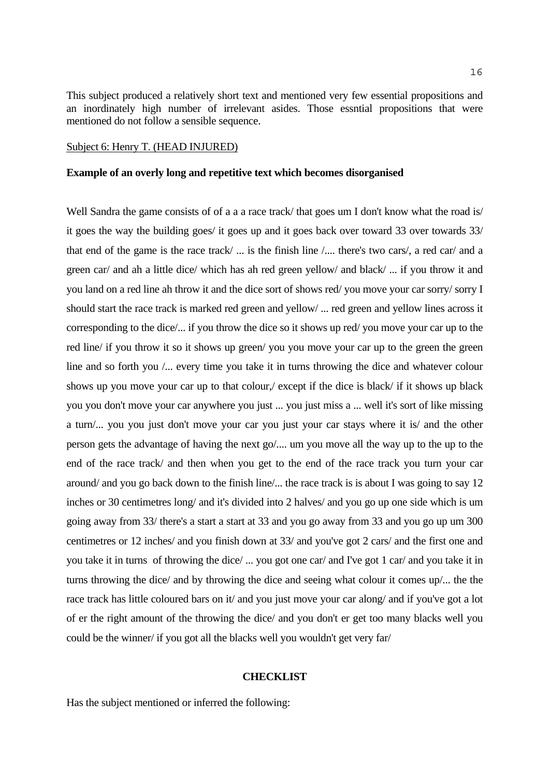This subject produced a relatively short text and mentioned very few essential propositions and an inordinately high number of irrelevant asides. Those essntial propositions that were mentioned do not follow a sensible sequence.

#### Subject 6: Henry T. (HEAD INJURED)

#### **Example of an overly long and repetitive text which becomes disorganised**

Well Sandra the game consists of of a a a race track/ that goes um I don't know what the road is/ it goes the way the building goes/ it goes up and it goes back over toward 33 over towards 33/ that end of the game is the race track/ ... is the finish line /.... there's two cars/, a red car/ and a green car/ and ah a little dice/ which has ah red green yellow/ and black/ ... if you throw it and you land on a red line ah throw it and the dice sort of shows red/ you move your car sorry/ sorry I should start the race track is marked red green and yellow/ ... red green and yellow lines across it corresponding to the dice/... if you throw the dice so it shows up red/ you move your car up to the red line/ if you throw it so it shows up green/ you you move your car up to the green the green line and so forth you /... every time you take it in turns throwing the dice and whatever colour shows up you move your car up to that colour,/ except if the dice is black/ if it shows up black you you don't move your car anywhere you just ... you just miss a ... well it's sort of like missing a turn/... you you just don't move your car you just your car stays where it is/ and the other person gets the advantage of having the next go/.... um you move all the way up to the up to the end of the race track/ and then when you get to the end of the race track you turn your car around/ and you go back down to the finish line/... the race track is is about I was going to say 12 inches or 30 centimetres long/ and it's divided into 2 halves/ and you go up one side which is um going away from 33/ there's a start a start at 33 and you go away from 33 and you go up um 300 centimetres or 12 inches/ and you finish down at 33/ and you've got 2 cars/ and the first one and you take it in turns of throwing the dice/ ... you got one car/ and I've got 1 car/ and you take it in turns throwing the dice/ and by throwing the dice and seeing what colour it comes up/... the the race track has little coloured bars on it/ and you just move your car along/ and if you've got a lot of er the right amount of the throwing the dice/ and you don't er get too many blacks well you could be the winner/ if you got all the blacks well you wouldn't get very far/

#### **CHECKLIST**

Has the subject mentioned or inferred the following: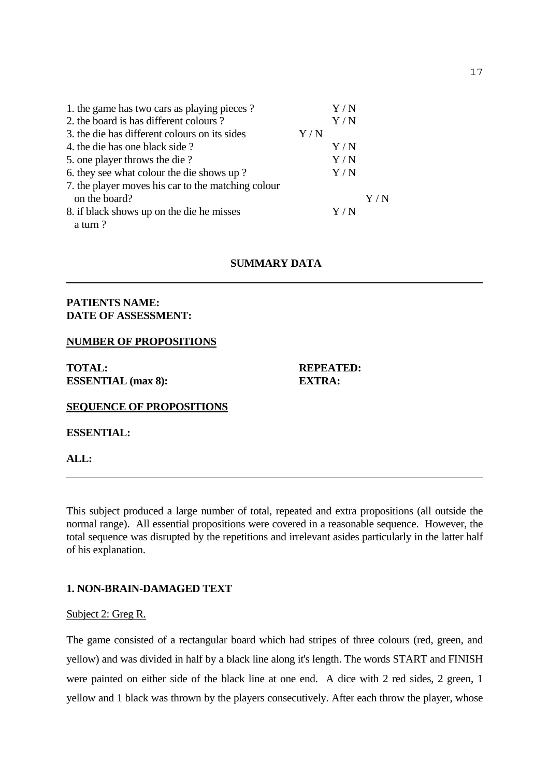| 1. the game has two cars as playing pieces?        |             | $\rm Y/N$ |     |
|----------------------------------------------------|-------------|-----------|-----|
| 2. the board is has different colours?             |             | Y/N       |     |
| 3. the die has different colours on its sides      | ${\rm Y/N}$ |           |     |
| 4. the die has one black side?                     |             | Y/N       |     |
| 5. one player throws the die?                      |             | Y/N       |     |
| 6. they see what colour the die shows up?          |             | Y/N       |     |
| 7. the player moves his car to the matching colour |             |           |     |
| on the board?                                      |             |           | Y/N |
| 8. if black shows up on the die he misses          |             | Y/N       |     |
| a turn?                                            |             |           |     |

# **SUMMARY DATA**

## **PATIENTS NAME: DATE OF ASSESSMENT:**

#### **NUMBER OF PROPOSITIONS**

**TOTAL: REPEATED: ESSENTIAL (max 8): EXTRA:** 

**SEQUENCE OF PROPOSITIONS** 

**ESSENTIAL:** 

**ALL:** 

This subject produced a large number of total, repeated and extra propositions (all outside the normal range). All essential propositions were covered in a reasonable sequence. However, the total sequence was disrupted by the repetitions and irrelevant asides particularly in the latter half of his explanation.

#### **1. NON-BRAIN-DAMAGED TEXT**

#### Subject 2: Greg R.

The game consisted of a rectangular board which had stripes of three colours (red, green, and yellow) and was divided in half by a black line along it's length. The words START and FINISH were painted on either side of the black line at one end. A dice with 2 red sides, 2 green, 1 yellow and 1 black was thrown by the players consecutively. After each throw the player, whose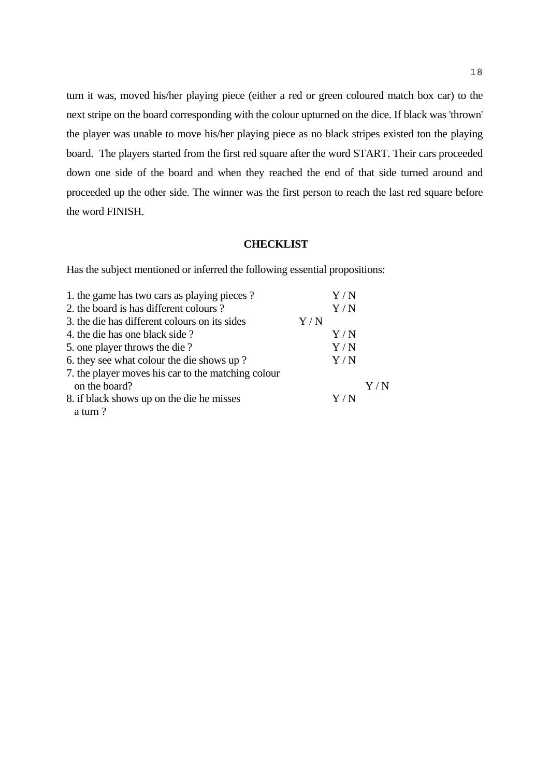turn it was, moved his/her playing piece (either a red or green coloured match box car) to the next stripe on the board corresponding with the colour upturned on the dice. If black was 'thrown' the player was unable to move his/her playing piece as no black stripes existed ton the playing board. The players started from the first red square after the word START. Their cars proceeded down one side of the board and when they reached the end of that side turned around and proceeded up the other side. The winner was the first person to reach the last red square before the word FINISH.

#### **CHECKLIST**

Has the subject mentioned or inferred the following essential propositions:

| 1. the game has two cars as playing pieces?        |     | $\rm Y$ / $\rm N$ |           |
|----------------------------------------------------|-----|-------------------|-----------|
| 2. the board is has different colours?             |     | Y/N               |           |
| 3. the die has different colours on its sides      | Y/N |                   |           |
| 4. the die has one black side?                     |     | Y/N               |           |
| 5. one player throws the die?                      |     | Y/N               |           |
| 6. they see what colour the die shows up?          |     | Y/N               |           |
| 7. the player moves his car to the matching colour |     |                   |           |
| on the board?                                      |     |                   | $\rm Y/N$ |
| 8. if black shows up on the die he misses          |     | Y/N               |           |
| a turn?                                            |     |                   |           |